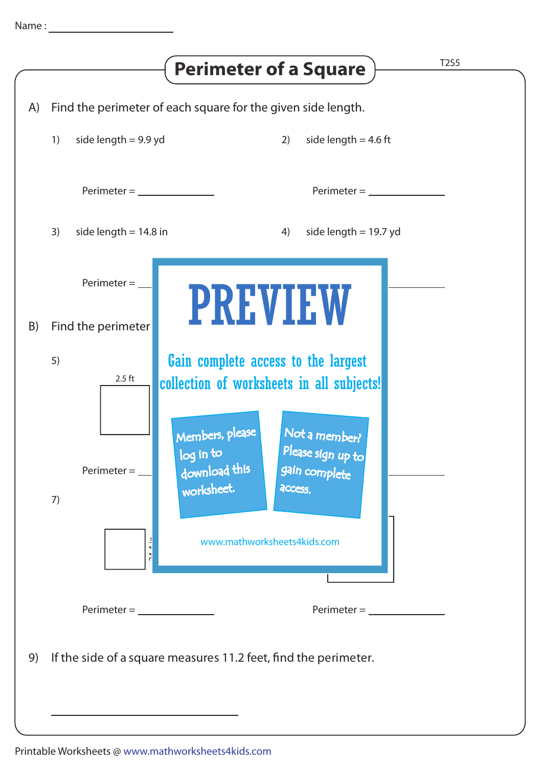